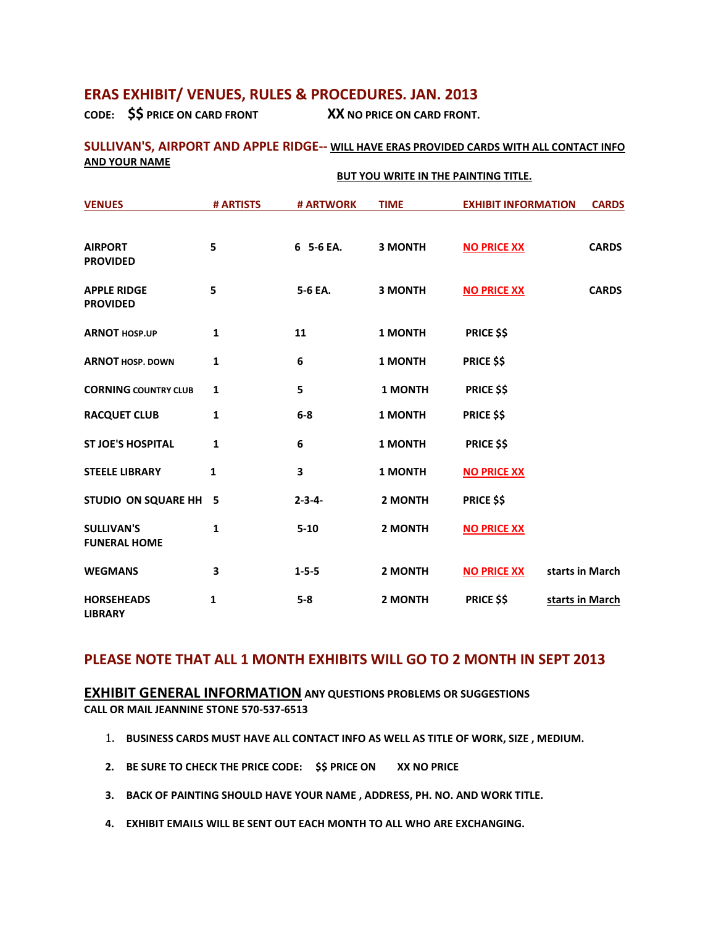# **ERAS EXHIBIT/ VENUES, RULES & PROCEDURES. JAN. 2013**

**CODE: \$\$ PRICE ON CARD FRONT XX NO PRICE ON CARD FRONT.** 

### **SULLIVAN'S, AIRPORT AND APPLE RIDGE-- WILL HAVE ERAS PROVIDED CARDS WITH ALL CONTACT INFO AND YOUR NAME**

|                                          | <b>BUT YOU WRITE IN THE PAINTING TITLE.</b> |               |                |                            |                 |
|------------------------------------------|---------------------------------------------|---------------|----------------|----------------------------|-----------------|
| <b>VENUES</b>                            | # ARTISTS                                   | # ARTWORK     | <b>TIME</b>    | <b>EXHIBIT INFORMATION</b> | <b>CARDS</b>    |
| <b>AIRPORT</b><br><b>PROVIDED</b>        | 5                                           | 6 5-6 EA.     | <b>3 MONTH</b> | <b>NO PRICE XX</b>         | <b>CARDS</b>    |
| <b>APPLE RIDGE</b><br><b>PROVIDED</b>    | 5                                           | 5-6 EA.       | <b>3 MONTH</b> | <b>NO PRICE XX</b>         | <b>CARDS</b>    |
| <b>ARNOT HOSP.UP</b>                     | $\mathbf{1}$                                | 11            | <b>1 MONTH</b> | <b>PRICE \$\$</b>          |                 |
| <b>ARNOT HOSP, DOWN</b>                  | 1                                           | 6             | <b>1 MONTH</b> | <b>PRICE \$\$</b>          |                 |
| <b>CORNING COUNTRY CLUB</b>              | 1                                           | 5             | <b>1 MONTH</b> | <b>PRICE \$\$</b>          |                 |
| <b>RACQUET CLUB</b>                      | $\mathbf{1}$                                | $6-8$         | 1 MONTH        | <b>PRICE \$\$</b>          |                 |
| <b>ST JOE'S HOSPITAL</b>                 | 1                                           | 6             | <b>1 MONTH</b> | <b>PRICE \$\$</b>          |                 |
| <b>STEELE LIBRARY</b>                    | $\mathbf{1}$                                | 3             | 1 MONTH        | <b>NO PRICE XX</b>         |                 |
| STUDIO ON SQUARE HH                      | 5                                           | $2 - 3 - 4 -$ | 2 MONTH        | <b>PRICE \$\$</b>          |                 |
| <b>SULLIVAN'S</b><br><b>FUNERAL HOME</b> | 1                                           | $5 - 10$      | 2 MONTH        | <b>NO PRICE XX</b>         |                 |
| <b>WEGMANS</b>                           | 3                                           | $1 - 5 - 5$   | 2 MONTH        | <b>NO PRICE XX</b>         | starts in March |
| <b>HORSEHEADS</b><br><b>LIBRARY</b>      | 1                                           | $5-8$         | 2 MONTH        | <b>PRICE \$\$</b>          | starts in March |

## **PLEASE NOTE THAT ALL 1 MONTH EXHIBITS WILL GO TO 2 MONTH IN SEPT 2013**

**EXHIBIT GENERAL INFORMATION ANY QUESTIONS PROBLEMS OR SUGGESTIONS CALL OR MAIL JEANNINE STONE 570-537-6513**

- 1. **BUSINESS CARDS MUST HAVE ALL CONTACT INFO AS WELL AS TITLE OF WORK, SIZE , MEDIUM.**
- **2. BE SURE TO CHECK THE PRICE CODE: \$\$ PRICE ON XX NO PRICE**
- **3. BACK OF PAINTING SHOULD HAVE YOUR NAME , ADDRESS, PH. NO. AND WORK TITLE.**
- **4. EXHIBIT EMAILS WILL BE SENT OUT EACH MONTH TO ALL WHO ARE EXCHANGING.**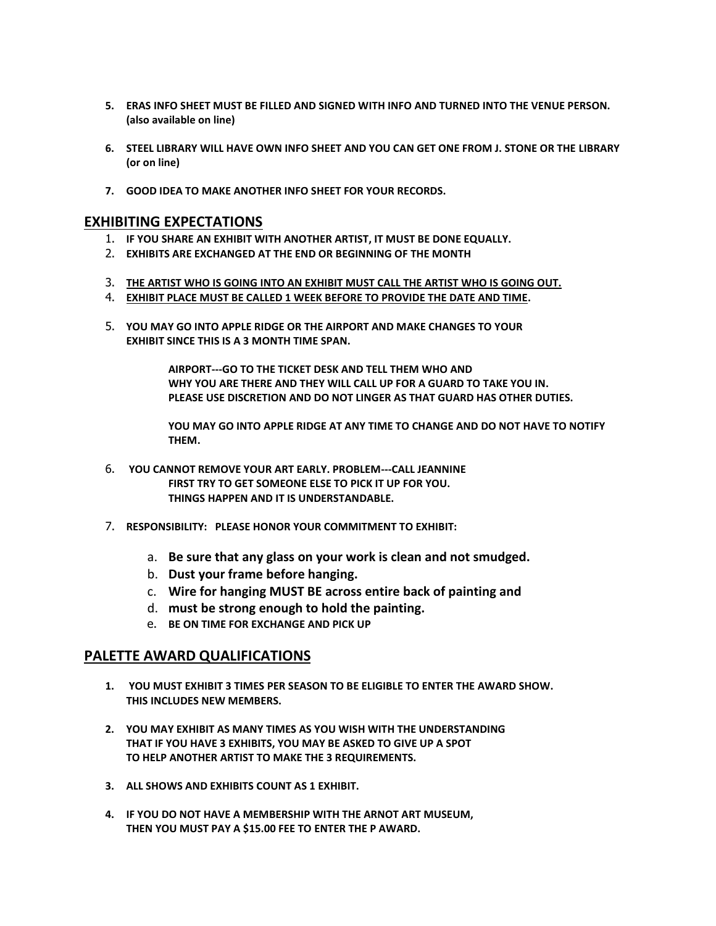- **5. ERAS INFO SHEET MUST BE FILLED AND SIGNED WITH INFO AND TURNED INTO THE VENUE PERSON. (also available on line)**
- **6. STEEL LIBRARY WILL HAVE OWN INFO SHEET AND YOU CAN GET ONE FROM J. STONE OR THE LIBRARY (or on line)**
- **7. GOOD IDEA TO MAKE ANOTHER INFO SHEET FOR YOUR RECORDS.**

## **EXHIBITING EXPECTATIONS**

- 1. **IF YOU SHARE AN EXHIBIT WITH ANOTHER ARTIST, IT MUST BE DONE EQUALLY.**
- 2. **EXHIBITS ARE EXCHANGED AT THE END OR BEGINNING OF THE MONTH**
- 3. **THE ARTIST WHO IS GOING INTO AN EXHIBIT MUST CALL THE ARTIST WHO IS GOING OUT.**
- 4. **EXHIBIT PLACE MUST BE CALLED 1 WEEK BEFORE TO PROVIDE THE DATE AND TIME.**
- 5. **YOU MAY GO INTO APPLE RIDGE OR THE AIRPORT AND MAKE CHANGES TO YOUR EXHIBIT SINCE THIS IS A 3 MONTH TIME SPAN.**

**AIRPORT---GO TO THE TICKET DESK AND TELL THEM WHO AND WHY YOU ARE THERE AND THEY WILL CALL UP FOR A GUARD TO TAKE YOU IN. PLEASE USE DISCRETION AND DO NOT LINGER AS THAT GUARD HAS OTHER DUTIES.**

**YOU MAY GO INTO APPLE RIDGE AT ANY TIME TO CHANGE AND DO NOT HAVE TO NOTIFY THEM.**

- 6. **YOU CANNOT REMOVE YOUR ART EARLY. PROBLEM---CALL JEANNINE FIRST TRY TO GET SOMEONE ELSE TO PICK IT UP FOR YOU. THINGS HAPPEN AND IT IS UNDERSTANDABLE.**
- 7. **RESPONSIBILITY: PLEASE HONOR YOUR COMMITMENT TO EXHIBIT:**
	- a. **Be sure that any glass on your work is clean and not smudged.**
	- b. **Dust your frame before hanging.**
	- c. **Wire for hanging MUST BE across entire back of painting and**
	- d. **must be strong enough to hold the painting.**
	- e. **BE ON TIME FOR EXCHANGE AND PICK UP**

### **PALETTE AWARD QUALIFICATIONS**

- **1. YOU MUST EXHIBIT 3 TIMES PER SEASON TO BE ELIGIBLE TO ENTER THE AWARD SHOW. THIS INCLUDES NEW MEMBERS.**
- **2. YOU MAY EXHIBIT AS MANY TIMES AS YOU WISH WITH THE UNDERSTANDING THAT IF YOU HAVE 3 EXHIBITS, YOU MAY BE ASKED TO GIVE UP A SPOT TO HELP ANOTHER ARTIST TO MAKE THE 3 REQUIREMENTS.**
- **3. ALL SHOWS AND EXHIBITS COUNT AS 1 EXHIBIT.**
- **4. IF YOU DO NOT HAVE A MEMBERSHIP WITH THE ARNOT ART MUSEUM, THEN YOU MUST PAY A \$15.00 FEE TO ENTER THE P AWARD.**